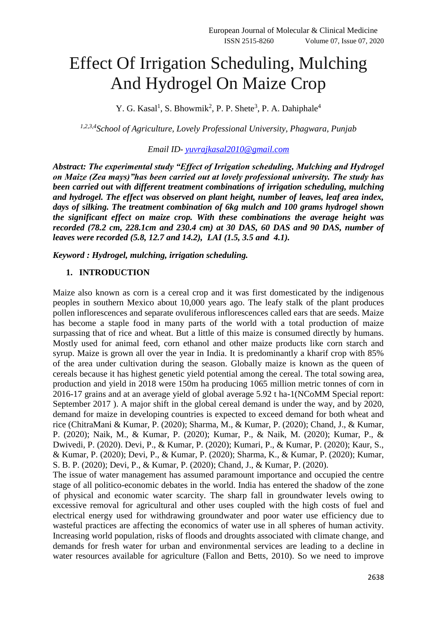# Effect Of Irrigation Scheduling, Mulching And Hydrogel On Maize Crop

Y. G. Kasal<sup>1</sup>, S. Bhowmik<sup>2</sup>, P. P. Shete<sup>3</sup>, P. A. Dahiphale<sup>4</sup>

*1,2,3,4School of Agriculture, Lovely Professional University, Phagwara, Punjab*

# *Email ID- [yuvrajkasal2010@gmail.com](mailto:yuvrajkasal2010@gmail.com)*

*Abstract: The experimental study "Effect of Irrigation scheduling, Mulching and Hydrogel on Maize (Zea mays)"has been carried out at lovely professional university. The study has been carried out with different treatment combinations of irrigation scheduling, mulching and hydrogel. The effect was observed on plant height, number of leaves, leaf area index, days of silking. The treatment combination of 6kg mulch and 100 grams hydrogel shown the significant effect on maize crop. With these combinations the average height was recorded (78.2 cm, 228.1cm and 230.4 cm) at 30 DAS, 60 DAS and 90 DAS, number of leaves were recorded (5.8, 12.7 and 14.2), LAI (1.5, 3.5 and 4.1).* 

*Keyword : Hydrogel, mulching, irrigation scheduling.*

## **1. INTRODUCTION**

Maize also known as corn is a cereal crop and it was first domesticated by the indigenous peoples in southern Mexico about 10,000 years ago. The leafy stalk of the plant produces pollen inflorescences and separate ovuliferous inflorescences called ears that are seeds. Maize has become a staple food in many parts of the world with a total production of maize surpassing that of rice and wheat. But a little of this maize is consumed directly by humans. Mostly used for animal feed, corn ethanol and other maize products like corn starch and syrup. Maize is grown all over the year in India. It is predominantly a kharif crop with 85% of the area under cultivation during the season. Globally maize is known as the queen of cereals because it has highest genetic yield potential among the cereal. The total sowing area, production and yield in 2018 were 150m ha producing 1065 million metric tonnes of corn in 2016-17 grains and at an average yield of global average 5.92 t ha-1(NCoMM Special report: September 2017 ). A major shift in the global cereal demand is under the way, and by 2020, demand for maize in developing countries is expected to exceed demand for both wheat and rice (ChitraMani & Kumar, P. (2020); Sharma, M., & Kumar, P. (2020); Chand, J., & Kumar, P. (2020); Naik, M., & Kumar, P. (2020); Kumar, P., & Naik, M. (2020); Kumar, P., & Dwivedi, P. (2020). Devi, P., & Kumar, P. (2020); Kumari, P., & Kumar, P. (2020); Kaur, S., & Kumar, P. (2020); Devi, P., & Kumar, P. (2020); Sharma, K., & Kumar, P. (2020); Kumar, S. B. P. (2020); Devi, P., & Kumar, P. (2020); Chand, J., & Kumar, P. (2020).

The issue of water management has assumed paramount importance and occupied the centre stage of all politico-economic debates in the world. India has entered the shadow of the zone of physical and economic water scarcity. The sharp fall in groundwater levels owing to excessive removal for agricultural and other uses coupled with the high costs of fuel and electrical energy used for withdrawing groundwater and poor water use efficiency due to wasteful practices are affecting the economics of water use in all spheres of human activity. Increasing world population, risks of floods and droughts associated with climate change, and demands for fresh water for urban and environmental services are leading to a decline in water resources available for agriculture (Fallon and Betts, 2010). So we need to improve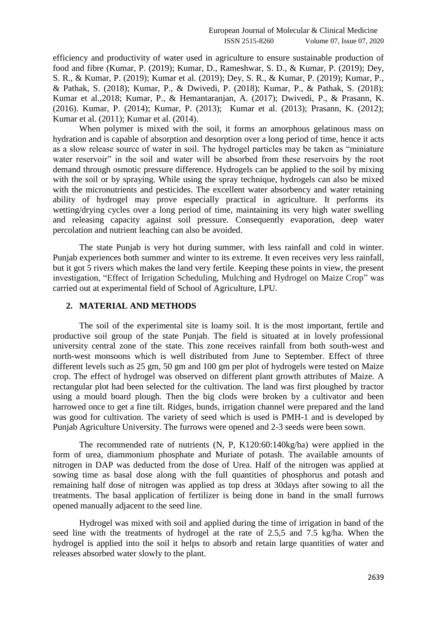efficiency and productivity of water used in agriculture to ensure sustainable production of food and fibre (Kumar, P. (2019); Kumar, D., Rameshwar, S. D., & Kumar, P. (2019); Dey, S. R., & Kumar, P. (2019); Kumar et al. (2019); Dey, S. R., & Kumar, P. (2019); Kumar, P., & Pathak, S. (2018); Kumar, P., & Dwivedi, P. (2018); Kumar, P., & Pathak, S. (2018); Kumar et al.,2018; Kumar, P., & Hemantaranjan, A. (2017); Dwivedi, P., & Prasann, K. (2016). Kumar, P. (2014); Kumar, P. (2013); Kumar et al. (2013); Prasann, K. (2012); Kumar et al. (2011); Kumar et al. (2014).

When polymer is mixed with the soil, it forms an amorphous gelatinous mass on hydration and is capable of absorption and desorption over a long period of time, hence it acts as a slow release source of water in soil. The hydrogel particles may be taken as "miniature water reservoir" in the soil and water will be absorbed from these reservoirs by the root demand through osmotic pressure difference. Hydrogels can be applied to the soil by mixing with the soil or by spraying. While using the spray technique, hydrogels can also be mixed with the micronutrients and pesticides. The excellent water absorbency and water retaining ability of hydrogel may prove especially practical in agriculture. It performs its wetting/drying cycles over a long period of time, maintaining its very high water swelling and releasing capacity against soil pressure. Consequently evaporation, deep water percolation and nutrient leaching can also be avoided.

The state Punjab is very hot during summer, with less rainfall and cold in winter. Punjab experiences both summer and winter to its extreme. It even receives very less rainfall, but it got 5 rivers which makes the land very fertile. Keeping these points in view, the present investigation, "Effect of Irrigation Scheduling, Mulching and Hydrogel on Maize Crop" was carried out at experimental field of School of Agriculture, LPU.

# **2. MATERIAL AND METHODS**

The soil of the experimental site is loamy soil. It is the most important, fertile and productive soil group of the state Punjab. The field is situated at in lovely professional university central zone of the state. This zone receives rainfall from both south-west and north-west monsoons which is well distributed from June to September. Effect of three different levels such as 25 gm, 50 gm and 100 gm per plot of hydrogels were tested on Maize crop. The effect of hydrogel was observed on different plant growth attributes of Maize. A rectangular plot had been selected for the cultivation. The land was first ploughed by tractor using a mould board plough. Then the big clods were broken by a cultivator and been harrowed once to get a fine tilt. Ridges, bunds, irrigation channel were prepared and the land was good for cultivation. The variety of seed which is used is PMH-1 and is developed by Punjab Agriculture University. The furrows were opened and 2-3 seeds were been sown.

The recommended rate of nutrients (N, P, K120:60:140kg/ha) were applied in the form of urea, diammonium phosphate and Muriate of potash. The available amounts of nitrogen in DAP was deducted from the dose of Urea. Half of the nitrogen was applied at sowing time as basal dose along with the full quantities of phosphorus and potash and remaining half dose of nitrogen was applied as top dress at 30days after sowing to all the treatments. The basal application of fertilizer is being done in band in the small furrows opened manually adjacent to the seed line.

Hydrogel was mixed with soil and applied during the time of irrigation in band of the seed line with the treatments of hydrogel at the rate of 2.5,5 and 7.5 kg/ha. When the hydrogel is applied into the soil it helps to absorb and retain large quantities of water and releases absorbed water slowly to the plant.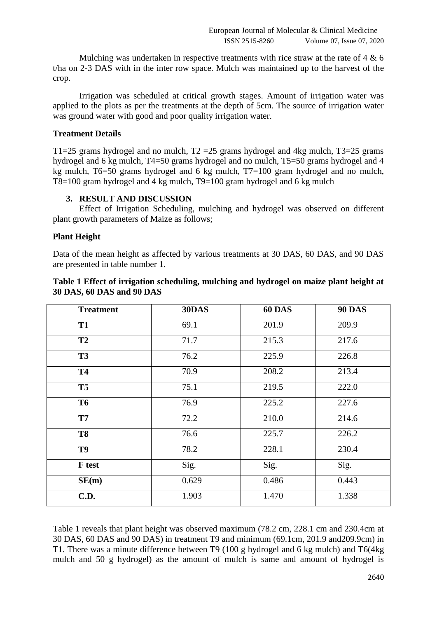Mulching was undertaken in respective treatments with rice straw at the rate of 4 & 6 t/ha on 2-3 DAS with in the inter row space. Mulch was maintained up to the harvest of the crop.

Irrigation was scheduled at critical growth stages. Amount of irrigation water was applied to the plots as per the treatments at the depth of 5cm. The source of irrigation water was ground water with good and poor quality irrigation water.

## **Treatment Details**

T1=25 grams hydrogel and no mulch,  $T2 = 25$  grams hydrogel and 4kg mulch,  $T3 = 25$  grams hydrogel and 6 kg mulch, T4=50 grams hydrogel and no mulch, T5=50 grams hydrogel and 4 kg mulch, T6=50 grams hydrogel and 6 kg mulch, T7=100 gram hydrogel and no mulch, T8=100 gram hydrogel and 4 kg mulch, T9=100 gram hydrogel and 6 kg mulch

## **3. RESULT AND DISCUSSION**

Effect of Irrigation Scheduling, mulching and hydrogel was observed on different plant growth parameters of Maize as follows;

## **Plant Height**

Data of the mean height as affected by various treatments at 30 DAS, 60 DAS, and 90 DAS are presented in table number 1.

| <b>Treatment</b> | 30DAS | <b>60 DAS</b> | <b>90 DAS</b> |
|------------------|-------|---------------|---------------|
| <b>T1</b>        | 69.1  | 201.9         | 209.9         |
| <b>T2</b>        | 71.7  | 215.3         | 217.6         |
| <b>T3</b>        | 76.2  | 225.9         | 226.8         |
| <b>T4</b>        | 70.9  | 208.2         | 213.4         |
| <b>T5</b>        | 75.1  | 219.5         | 222.0         |
| <b>T6</b>        | 76.9  | 225.2         | 227.6         |
| <b>T7</b>        | 72.2  | 210.0         | 214.6         |
| <b>T8</b>        | 76.6  | 225.7         | 226.2         |
| T9               | 78.2  | 228.1         | 230.4         |
| <b>F</b> test    | Sig.  | Sig.          | Sig.          |
| SE(m)            | 0.629 | 0.486         | 0.443         |
| <b>C.D.</b>      | 1.903 | 1.470         | 1.338         |

# **Table 1 Effect of irrigation scheduling, mulching and hydrogel on maize plant height at 30 DAS, 60 DAS and 90 DAS**

Table 1 reveals that plant height was observed maximum (78.2 cm, 228.1 cm and 230.4cm at 30 DAS, 60 DAS and 90 DAS) in treatment T9 and minimum (69.1cm, 201.9 and209.9cm) in T1. There was a minute difference between T9 (100 g hydrogel and 6 kg mulch) and T6(4kg mulch and 50 g hydrogel) as the amount of mulch is same and amount of hydrogel is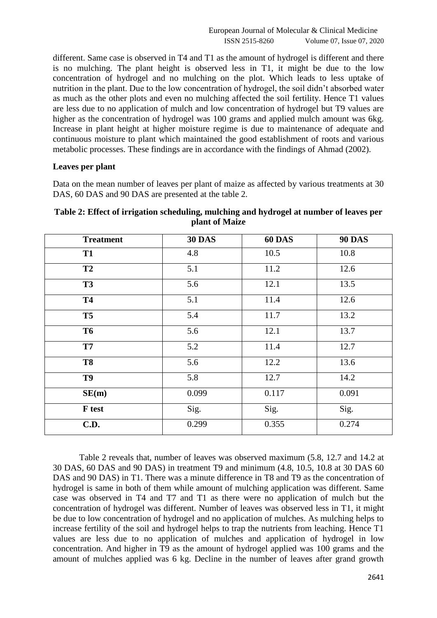different. Same case is observed in T4 and T1 as the amount of hydrogel is different and there is no mulching. The plant height is observed less in T1, it might be due to the low concentration of hydrogel and no mulching on the plot. Which leads to less uptake of nutrition in the plant. Due to the low concentration of hydrogel, the soil didn't absorbed water as much as the other plots and even no mulching affected the soil fertility. Hence T1 values are less due to no application of mulch and low concentration of hydrogel but T9 values are higher as the concentration of hydrogel was 100 grams and applied mulch amount was 6kg. Increase in plant height at higher moisture regime is due to maintenance of adequate and continuous moisture to plant which maintained the good establishment of roots and various metabolic processes. These findings are in accordance with the findings of Ahmad (2002).

## **Leaves per plant**

Data on the mean number of leaves per plant of maize as affected by various treatments at 30 DAS, 60 DAS and 90 DAS are presented at the table 2.

| <b>Treatment</b> | <b>30 DAS</b> | 60 DAS | <b>90 DAS</b> |
|------------------|---------------|--------|---------------|
| <b>T1</b>        | 4.8           | 10.5   | 10.8          |
| <b>T2</b>        | 5.1           | 11.2   | 12.6          |
| <b>T3</b>        | 5.6           | 12.1   | 13.5          |
| <b>T4</b>        | 5.1           | 11.4   | 12.6          |
| <b>T5</b>        | 5.4           | 11.7   | 13.2          |
| <b>T6</b>        | 5.6           | 12.1   | 13.7          |
| <b>T7</b>        | 5.2           | 11.4   | 12.7          |
| <b>T8</b>        | 5.6           | 12.2   | 13.6          |
| T9               | 5.8           | 12.7   | 14.2          |
| SE(m)            | 0.099         | 0.117  | 0.091         |
| F test           | Sig.          | Sig.   | Sig.          |
| <b>C.D.</b>      | 0.299         | 0.355  | 0.274         |

# **Table 2: Effect of irrigation scheduling, mulching and hydrogel at number of leaves per plant of Maize**

Table 2 reveals that, number of leaves was observed maximum (5.8, 12.7 and 14.2 at 30 DAS, 60 DAS and 90 DAS) in treatment T9 and minimum (4.8, 10.5, 10.8 at 30 DAS 60 DAS and 90 DAS) in T1. There was a minute difference in T8 and T9 as the concentration of hydrogel is same in both of them while amount of mulching application was different. Same case was observed in T4 and T7 and T1 as there were no application of mulch but the concentration of hydrogel was different. Number of leaves was observed less in T1, it might be due to low concentration of hydrogel and no application of mulches. As mulching helps to increase fertility of the soil and hydrogel helps to trap the nutrients from leaching. Hence T1 values are less due to no application of mulches and application of hydrogel in low concentration. And higher in T9 as the amount of hydrogel applied was 100 grams and the amount of mulches applied was 6 kg. Decline in the number of leaves after grand growth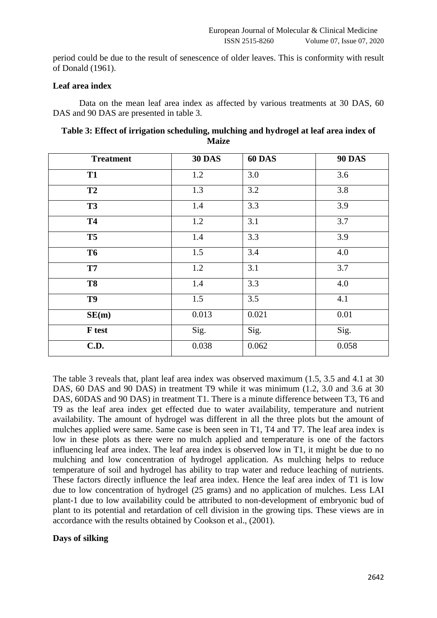period could be due to the result of senescence of older leaves. This is conformity with result of Donald (1961).

## **Leaf area index**

Data on the mean leaf area index as affected by various treatments at 30 DAS, 60 DAS and 90 DAS are presented in table 3.

| Table 3: Effect of irrigation scheduling, mulching and hydrogel at leaf area index of |
|---------------------------------------------------------------------------------------|
| <b>Maize</b>                                                                          |

| <b>Treatment</b> | <b>30 DAS</b> | <b>60 DAS</b> | <b>90 DAS</b> |
|------------------|---------------|---------------|---------------|
| <b>T1</b>        | 1.2           | 3.0           | 3.6           |
| <b>T2</b>        | 1.3           | 3.2           | 3.8           |
| <b>T3</b>        | 1.4           | 3.3           | 3.9           |
| <b>T4</b>        | 1.2           | 3.1           | 3.7           |
| <b>T5</b>        | 1.4           | 3.3           | 3.9           |
| <b>T6</b>        | 1.5           | 3.4           | 4.0           |
| <b>T7</b>        | 1.2           | 3.1           | 3.7           |
| <b>T8</b>        | 1.4           | 3.3           | 4.0           |
| T9               | 1.5           | 3.5           | 4.1           |
| SE(m)            | 0.013         | 0.021         | 0.01          |
| F test           | Sig.          | Sig.          | Sig.          |
| <b>C.D.</b>      | 0.038         | 0.062         | 0.058         |

The table 3 reveals that, plant leaf area index was observed maximum (1.5, 3.5 and 4.1 at 30 DAS, 60 DAS and 90 DAS) in treatment T9 while it was minimum (1.2, 3.0 and 3.6 at 30 DAS, 60DAS and 90 DAS) in treatment T1. There is a minute difference between T3, T6 and T9 as the leaf area index get effected due to water availability, temperature and nutrient availability. The amount of hydrogel was different in all the three plots but the amount of mulches applied were same. Same case is been seen in T1, T4 and T7. The leaf area index is low in these plots as there were no mulch applied and temperature is one of the factors influencing leaf area index. The leaf area index is observed low in T1, it might be due to no mulching and low concentration of hydrogel application. As mulching helps to reduce temperature of soil and hydrogel has ability to trap water and reduce leaching of nutrients. These factors directly influence the leaf area index. Hence the leaf area index of T1 is low due to low concentration of hydrogel (25 grams) and no application of mulches. Less LAI plant-1 due to low availability could be attributed to non-development of embryonic bud of plant to its potential and retardation of cell division in the growing tips. These views are in accordance with the results obtained by Cookson et al., (2001).

## **Days of silking**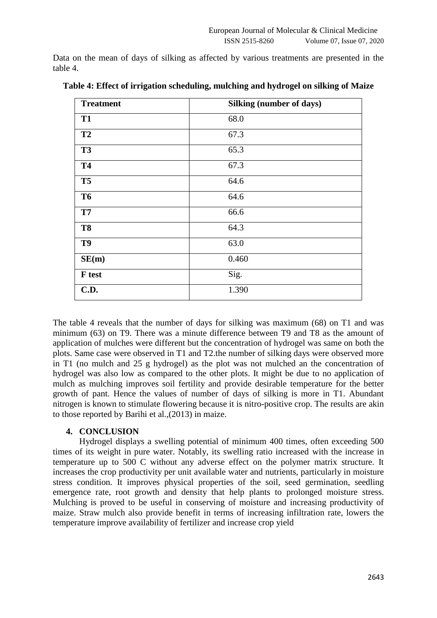Data on the mean of days of silking as affected by various treatments are presented in the table 4.

| <b>Treatment</b> | Silking (number of days) |
|------------------|--------------------------|
| <b>T1</b>        | 68.0                     |
| T2               | 67.3                     |
| <b>T3</b>        | 65.3                     |
| <b>T4</b>        | 67.3                     |
| T <sub>5</sub>   | 64.6                     |
| <b>T6</b>        | 64.6                     |
| T7               | 66.6                     |
| <b>T8</b>        | 64.3                     |
| T <sub>9</sub>   | 63.0                     |
| SE(m)            | 0.460                    |
| F test           | Sig.                     |
| C.D.             | 1.390                    |

**Table 4: Effect of irrigation scheduling, mulching and hydrogel on silking of Maize**

The table 4 reveals that the number of days for silking was maximum (68) on T1 and was minimum (63) on T9. There was a minute difference between T9 and T8 as the amount of application of mulches were different but the concentration of hydrogel was same on both the plots. Same case were observed in T1 and T2.the number of silking days were observed more in T1 (no mulch and 25 g hydrogel) as the plot was not mulched an the concentration of hydrogel was also low as compared to the other plots. It might be due to no application of mulch as mulching improves soil fertility and provide desirable temperature for the better growth of pant. Hence the values of number of days of silking is more in T1. Abundant nitrogen is known to stimulate flowering because it is nitro-positive crop. The results are akin to those reported by Barihi et al.,(2013) in maize.

### **4. CONCLUSION**

Hydrogel displays a swelling potential of minimum 400 times, often exceeding 500 times of its weight in pure water. Notably, its swelling ratio increased with the increase in temperature up to 500 C without any adverse effect on the polymer matrix structure. It increases the crop productivity per unit available water and nutrients, particularly in moisture stress condition. It improves physical properties of the soil, seed germination, seedling emergence rate, root growth and density that help plants to prolonged moisture stress. Mulching is proved to be useful in conserving of moisture and increasing productivity of maize. Straw mulch also provide benefit in terms of increasing infiltration rate, lowers the temperature improve availability of fertilizer and increase crop yield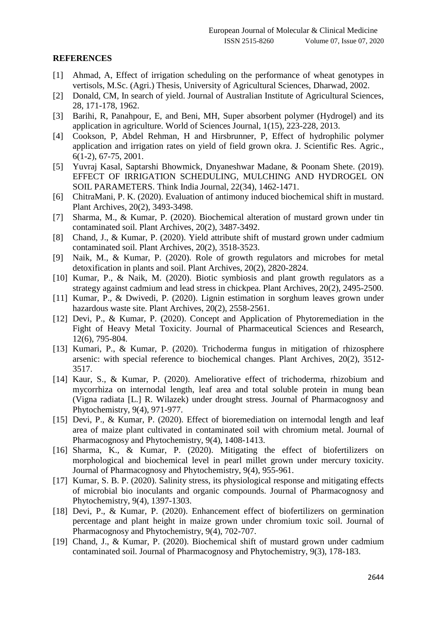## **REFERENCES**

- [1] Ahmad, A, Effect of irrigation scheduling on the performance of wheat genotypes in vertisols, M.Sc. (Agri.) Thesis, University of Agricultural Sciences, Dharwad, 2002.
- [2] Donald, CM, In search of yield. Journal of Australian Institute of Agricultural Sciences, 28, 171-178, 1962.
- [3] Barihi, R, Panahpour, E, and Beni, MH, Super absorbent polymer (Hydrogel) and its application in agriculture. World of Sciences Journal, 1(15), 223-228, 2013.
- [4] Cookson, P, Abdel Rehman, H and Hirsbrunner, P, Effect of hydrophilic polymer application and irrigation rates on yield of field grown okra. J. Scientific Res. Agric., 6(1-2), 67-75, 2001.
- [5] Yuvraj Kasal, Saptarshi Bhowmick, Dnyaneshwar Madane, & Poonam Shete. (2019). EFFECT OF IRRIGATION SCHEDULING, MULCHING AND HYDROGEL ON SOIL PARAMETERS. Think India Journal, 22(34), 1462-1471.
- [6] ChitraMani, P. K. (2020). Evaluation of antimony induced biochemical shift in mustard. Plant Archives, 20(2), 3493-3498.
- [7] Sharma, M., & Kumar, P. (2020). Biochemical alteration of mustard grown under tin contaminated soil. Plant Archives, 20(2), 3487-3492.
- [8] Chand, J., & Kumar, P. (2020). Yield attribute shift of mustard grown under cadmium contaminated soil. Plant Archives, 20(2), 3518-3523.
- [9] Naik, M., & Kumar, P. (2020). Role of growth regulators and microbes for metal detoxification in plants and soil. Plant Archives, 20(2), 2820-2824.
- [10] Kumar, P., & Naik, M. (2020). Biotic symbiosis and plant growth regulators as a strategy against cadmium and lead stress in chickpea. Plant Archives, 20(2), 2495-2500.
- [11] Kumar, P., & Dwivedi, P. (2020). Lignin estimation in sorghum leaves grown under hazardous waste site. Plant Archives, 20(2), 2558-2561.
- [12] Devi, P., & Kumar, P. (2020). Concept and Application of Phytoremediation in the Fight of Heavy Metal Toxicity. Journal of Pharmaceutical Sciences and Research, 12(6), 795-804.
- [13] Kumari, P., & Kumar, P. (2020). Trichoderma fungus in mitigation of rhizosphere arsenic: with special reference to biochemical changes. Plant Archives, 20(2), 3512- 3517.
- [14] Kaur, S., & Kumar, P. (2020). Ameliorative effect of trichoderma, rhizobium and mycorrhiza on internodal length, leaf area and total soluble protein in mung bean (Vigna radiata [L.] R. Wilazek) under drought stress. Journal of Pharmacognosy and Phytochemistry, 9(4), 971-977.
- [15] Devi, P., & Kumar, P. (2020). Effect of bioremediation on internodal length and leaf area of maize plant cultivated in contaminated soil with chromium metal. Journal of Pharmacognosy and Phytochemistry, 9(4), 1408-1413.
- [16] Sharma, K., & Kumar, P. (2020). Mitigating the effect of biofertilizers on morphological and biochemical level in pearl millet grown under mercury toxicity. Journal of Pharmacognosy and Phytochemistry, 9(4), 955-961.
- [17] Kumar, S. B. P. (2020). Salinity stress, its physiological response and mitigating effects of microbial bio inoculants and organic compounds. Journal of Pharmacognosy and Phytochemistry, 9(4), 1397-1303.
- [18] Devi, P., & Kumar, P. (2020). Enhancement effect of biofertilizers on germination percentage and plant height in maize grown under chromium toxic soil. Journal of Pharmacognosy and Phytochemistry, 9(4), 702-707.
- [19] Chand, J., & Kumar, P. (2020). Biochemical shift of mustard grown under cadmium contaminated soil. Journal of Pharmacognosy and Phytochemistry, 9(3), 178-183.